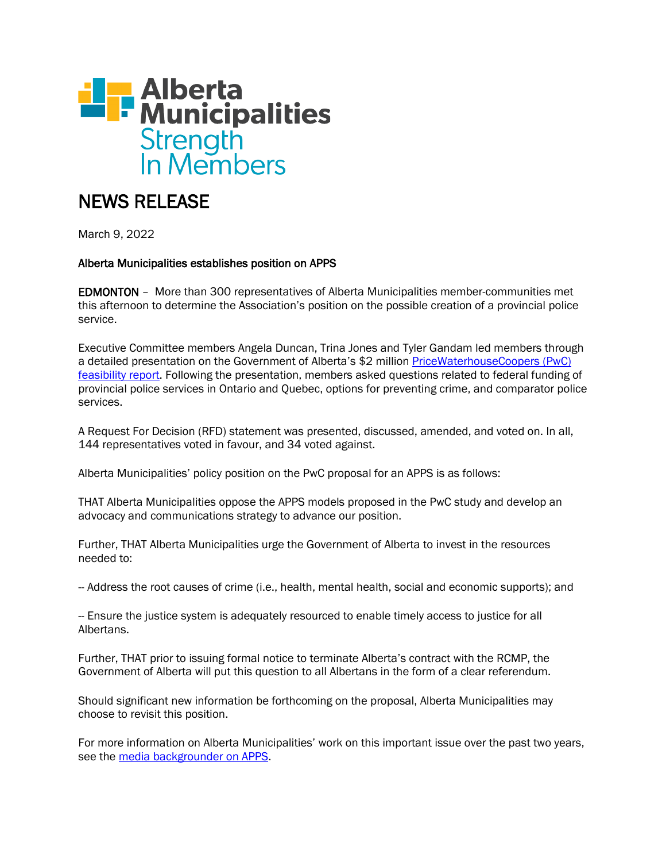

# NEWS RELEASE

March 9, 2022

## Alberta Municipalities establishes position on APPS

EDMONTON – More than 300 representatives of Alberta Municipalities member-communities met this afternoon to determine the Association's position on the possible creation of a provincial police service.

Executive Committee members Angela Duncan, Trina Jones and Tyler Gandam led members through a detailed presentation on the Government of Alberta's \$2 million [PriceWaterhouseCoopers \(PwC\)](https://open.alberta.ca/dataset?tags=Alberta+Provincial+Police+Service)  [feasibility report.](https://open.alberta.ca/dataset?tags=Alberta+Provincial+Police+Service) Following the presentation, members asked questions related to federal funding of provincial police services in Ontario and Quebec, options for preventing crime, and comparator police services.

A Request For Decision (RFD) statement was presented, discussed, amended, and voted on. In all, 144 representatives voted in favour, and 34 voted against.

Alberta Municipalities' policy position on the PwC proposal for an APPS is as follows:

THAT Alberta Municipalities oppose the APPS models proposed in the PwC study and develop an advocacy and communications strategy to advance our position.

Further, THAT Alberta Municipalities urge the Government of Alberta to invest in the resources needed to:

-- Address the root causes of crime (i.e., health, mental health, social and economic supports); and

-- Ensure the justice system is adequately resourced to enable timely access to justice for all Albertans.

Further, THAT prior to issuing formal notice to terminate Alberta's contract with the RCMP, the Government of Alberta will put this question to all Albertans in the form of a clear referendum.

Should significant new information be forthcoming on the proposal, Alberta Municipalities may choose to revisit this position.

For more information on Alberta Municipalities' work on this important issue over the past two years, see the [media backgrounder on APPS.](https://www.abmunis.ca/system/files/2022-02/APPS%20Backgrounder%20-%20Updated%20Feb%202022.pdf)